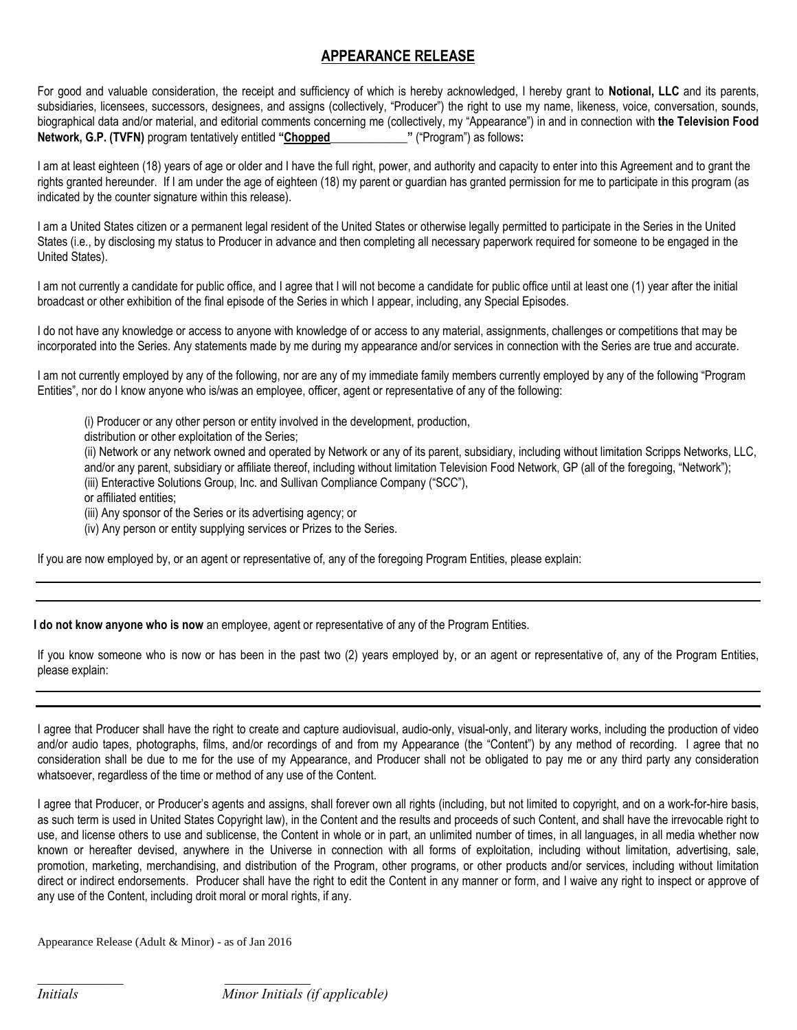## **APPEARANCE RELEASE**

For good and valuable consideration, the receipt and sufficiency of which is hereby acknowledged, I hereby grant to **Notional, LLC** and its parents, subsidiaries, licensees, successors, designees, and assigns (collectively, "Producer") the right to use my name, likeness, voice, conversation, sounds, biographical data and/or material, and editorial comments concerning me (collectively, my "Appearance") in and in connection with **the Television Food Network, G.P. (TVFN)** program tentatively entitled **"Chopped\_\_\_\_\_\_\_\_\_\_\_\_\_"** ("Program") as follows**:**

I am at least eighteen (18) years of age or older and I have the full right, power, and authority and capacity to enter into this Agreement and to grant the rights granted hereunder. If I am under the age of eighteen (18) my parent or guardian has granted permission for me to participate in this program (as indicated by the counter signature within this release).

I am a United States citizen or a permanent legal resident of the United States or otherwise legally permitted to participate in the Series in the United States (i.e., by disclosing my status to Producer in advance and then completing all necessary paperwork required for someone to be engaged in the United States).

I am not currently a candidate for public office, and I agree that I will not become a candidate for public office until at least one (1) year after the initial broadcast or other exhibition of the final episode of the Series in which I appear, including, any Special Episodes.

I do not have any knowledge or access to anyone with knowledge of or access to any material, assignments, challenges or competitions that may be incorporated into the Series. Any statements made by me during my appearance and/or services in connection with the Series are true and accurate.

I am not currently employed by any of the following, nor are any of my immediate family members currently employed by any of the following "Program Entities", nor do I know anyone who is/was an employee, officer, agent or representative of any of the following:

(i) Producer or any other person or entity involved in the development, production,

distribution or other exploitation of the Series;

(ii) Network or any network owned and operated by Network or any of its parent, subsidiary, including without limitation Scripps Networks, LLC, and/or any parent, subsidiary or affiliate thereof, including without limitation Television Food Network, GP (all of the foregoing, "Network");

(iii) Enteractive Solutions Group, Inc. and Sullivan Compliance Company ("SCC"),

or affiliated entities;

(iii) Any sponsor of the Series or its advertising agency; or

(iv) Any person or entity supplying services or Prizes to the Series.

If you are now employed by, or an agent or representative of, any of the foregoing Program Entities, please explain:

**I do not know anyone who is now** an employee, agent or representative of any of the Program Entities.

If you know someone who is now or has been in the past two (2) years employed by, or an agent or representative of, any of the Program Entities, please explain:

I agree that Producer shall have the right to create and capture audiovisual, audio-only, visual-only, and literary works, including the production of video and/or audio tapes, photographs, films, and/or recordings of and from my Appearance (the "Content") by any method of recording. I agree that no consideration shall be due to me for the use of my Appearance, and Producer shall not be obligated to pay me or any third party any consideration whatsoever, regardless of the time or method of any use of the Content.

I agree that Producer, or Producer's agents and assigns, shall forever own all rights (including, but not limited to copyright, and on a work-for-hire basis, as such term is used in United States Copyright law), in the Content and the results and proceeds of such Content, and shall have the irrevocable right to use, and license others to use and sublicense, the Content in whole or in part, an unlimited number of times, in all languages, in all media whether now known or hereafter devised, anywhere in the Universe in connection with all forms of exploitation, including without limitation, advertising, sale, promotion, marketing, merchandising, and distribution of the Program, other programs, or other products and/or services, including without limitation direct or indirect endorsements. Producer shall have the right to edit the Content in any manner or form, and I waive any right to inspect or approve of any use of the Content, including droit moral or moral rights, if any.

Appearance Release (Adult & Minor) - as of Jan 2016

*Initials Minor Initials (if applicable)*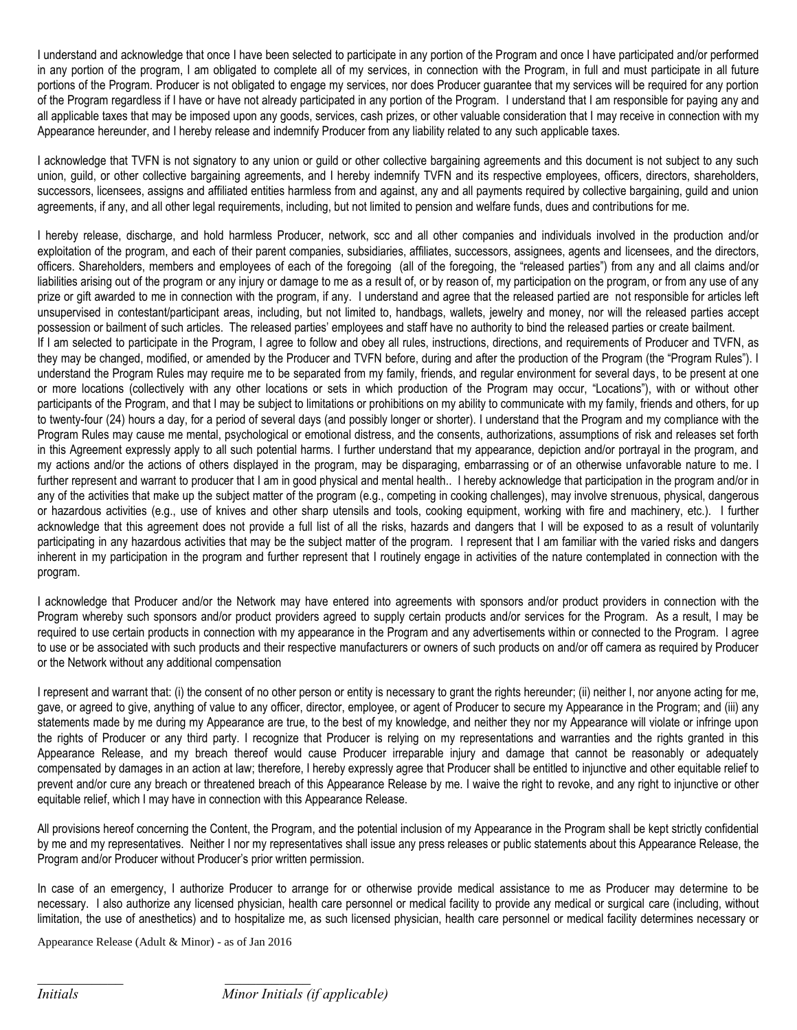I understand and acknowledge that once I have been selected to participate in any portion of the Program and once I have participated and/or performed in any portion of the program, I am obligated to complete all of my services, in connection with the Program, in full and must participate in all future portions of the Program. Producer is not obligated to engage my services, nor does Producer guarantee that my services will be required for any portion of the Program regardless if I have or have not already participated in any portion of the Program. I understand that I am responsible for paying any and all applicable taxes that may be imposed upon any goods, services, cash prizes, or other valuable consideration that I may receive in connection with my Appearance hereunder, and I hereby release and indemnify Producer from any liability related to any such applicable taxes.

I acknowledge that TVFN is not signatory to any union or guild or other collective bargaining agreements and this document is not subject to any such union, guild, or other collective bargaining agreements, and I hereby indemnify TVFN and its respective employees, officers, directors, shareholders, successors, licensees, assigns and affiliated entities harmless from and against, any and all payments required by collective bargaining, guild and union agreements, if any, and all other legal requirements, including, but not limited to pension and welfare funds, dues and contributions for me.

I hereby release, discharge, and hold harmless Producer, network, scc and all other companies and individuals involved in the production and/or exploitation of the program, and each of their parent companies, subsidiaries, affiliates, successors, assignees, agents and licensees, and the directors, officers. Shareholders, members and employees of each of the foregoing (all of the foregoing, the "released parties") from any and all claims and/or liabilities arising out of the program or any injury or damage to me as a result of, or by reason of, my participation on the program, or from any use of any prize or gift awarded to me in connection with the program, if any. I understand and agree that the released partied are not responsible for articles left unsupervised in contestant/participant areas, including, but not limited to, handbags, wallets, jewelry and money, nor will the released parties accept possession or bailment of such articles. The released parties' employees and staff have no authority to bind the released parties or create bailment. If I am selected to participate in the Program, I agree to follow and obey all rules, instructions, directions, and requirements of Producer and TVFN, as they may be changed, modified, or amended by the Producer and TVFN before, during and after the production of the Program (the "Program Rules"). I understand the Program Rules may require me to be separated from my family, friends, and regular environment for several days, to be present at one or more locations (collectively with any other locations or sets in which production of the Program may occur, "Locations"), with or without other participants of the Program, and that I may be subject to limitations or prohibitions on my ability to communicate with my family, friends and others, for up to twenty-four (24) hours a day, for a period of several days (and possibly longer or shorter). I understand that the Program and my compliance with the Program Rules may cause me mental, psychological or emotional distress, and the consents, authorizations, assumptions of risk and releases set forth in this Agreement expressly apply to all such potential harms. I further understand that my appearance, depiction and/or portrayal in the program, and my actions and/or the actions of others displayed in the program, may be disparaging, embarrassing or of an otherwise unfavorable nature to me. I further represent and warrant to producer that I am in good physical and mental health.. I hereby acknowledge that participation in the program and/or in any of the activities that make up the subject matter of the program (e.g., competing in cooking challenges), may involve strenuous, physical, dangerous or hazardous activities (e.g., use of knives and other sharp utensils and tools, cooking equipment, working with fire and machinery, etc.). I further acknowledge that this agreement does not provide a full list of all the risks, hazards and dangers that I will be exposed to as a result of voluntarily participating in any hazardous activities that may be the subject matter of the program. I represent that I am familiar with the varied risks and dangers inherent in my participation in the program and further represent that I routinely engage in activities of the nature contemplated in connection with the program.

I acknowledge that Producer and/or the Network may have entered into agreements with sponsors and/or product providers in connection with the Program whereby such sponsors and/or product providers agreed to supply certain products and/or services for the Program. As a result, I may be required to use certain products in connection with my appearance in the Program and any advertisements within or connected to the Program. I agree to use or be associated with such products and their respective manufacturers or owners of such products on and/or off camera as required by Producer or the Network without any additional compensation

I represent and warrant that: (i) the consent of no other person or entity is necessary to grant the rights hereunder; (ii) neither I, nor anyone acting for me, gave, or agreed to give, anything of value to any officer, director, employee, or agent of Producer to secure my Appearance in the Program; and (iii) any statements made by me during my Appearance are true, to the best of my knowledge, and neither they nor my Appearance will violate or infringe upon the rights of Producer or any third party. I recognize that Producer is relying on my representations and warranties and the rights granted in this Appearance Release, and my breach thereof would cause Producer irreparable injury and damage that cannot be reasonably or adequately compensated by damages in an action at law; therefore, I hereby expressly agree that Producer shall be entitled to injunctive and other equitable relief to prevent and/or cure any breach or threatened breach of this Appearance Release by me. I waive the right to revoke, and any right to injunctive or other equitable relief, which I may have in connection with this Appearance Release.

All provisions hereof concerning the Content, the Program, and the potential inclusion of my Appearance in the Program shall be kept strictly confidential by me and my representatives. Neither I nor my representatives shall issue any press releases or public statements about this Appearance Release, the Program and/or Producer without Producer's prior written permission.

In case of an emergency, I authorize Producer to arrange for or otherwise provide medical assistance to me as Producer may determine to be necessary. I also authorize any licensed physician, health care personnel or medical facility to provide any medical or surgical care (including, without limitation, the use of anesthetics) and to hospitalize me, as such licensed physician, health care personnel or medical facility determines necessary or

Appearance Release (Adult & Minor) - as of Jan 2016

*Initials Minor Initials (if applicable)*